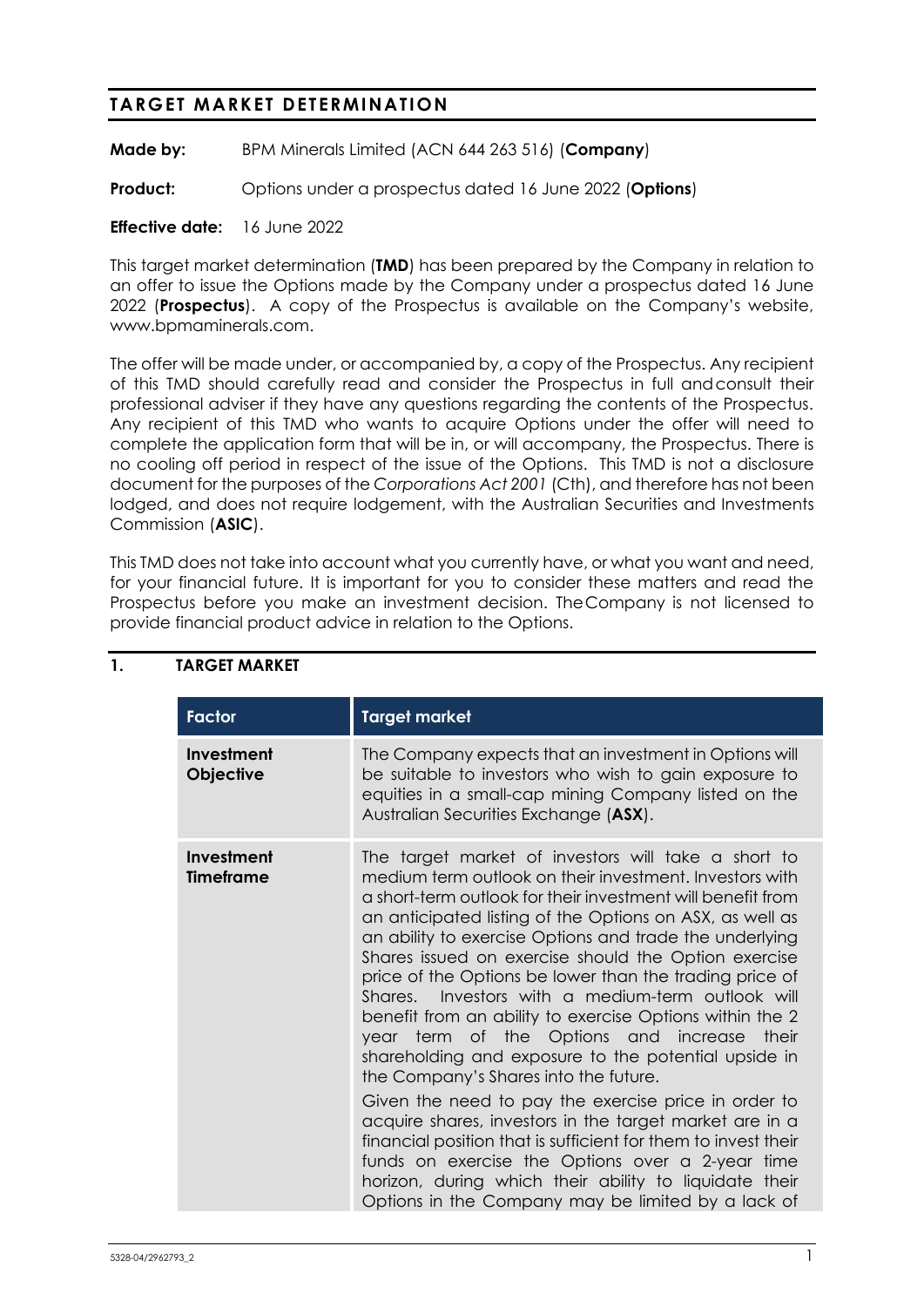# **TARGET MARKET DETERMINATION**

**Made by:** BPM Minerals Limited (ACN 644 263 516) (**Company**)

**Product:** Options under a prospectus dated 16 June 2022 (Options)

#### **Effective date:** 16 June 2022

This target market determination (**TMD**) has been prepared by the Company in relation to an offer to issue the Options made by the Company under a prospectus dated 16 June 2022 (**Prospectus**). A copy of the Prospectus is available on the Company's website, www.bpmaminerals.com.

The offer will be made under, or accompanied by, a copy of the Prospectus. Any recipient of this TMD should carefully read and consider the Prospectus in full andconsult their professional adviser if they have any questions regarding the contents of the Prospectus. Any recipient of this TMD who wants to acquire Options under the offer will need to complete the application form that will be in, or will accompany, the Prospectus. There is no cooling off period in respect of the issue of the Options. This TMD is not a disclosure document for the purposes of the *Corporations Act 2001* (Cth), and therefore has not been lodged, and does not require lodgement, with the Australian Securities and Investments Commission (**ASIC**).

This TMD does not take into account what you currently have, or what you want and need, for your financial future. It is important for you to consider these matters and read the Prospectus before you make an investment decision. TheCompany is not licensed to provide financial product advice in relation to the Options.

| <b>Factor</b>                  | <b>Target market</b>                                                                                                                                                                                                                                                                                                                                                                                                                                                                                                                                                                                                                                                                                                                                                                                                                                                                                                                                                                                                                              |  |
|--------------------------------|---------------------------------------------------------------------------------------------------------------------------------------------------------------------------------------------------------------------------------------------------------------------------------------------------------------------------------------------------------------------------------------------------------------------------------------------------------------------------------------------------------------------------------------------------------------------------------------------------------------------------------------------------------------------------------------------------------------------------------------------------------------------------------------------------------------------------------------------------------------------------------------------------------------------------------------------------------------------------------------------------------------------------------------------------|--|
| Investment<br><b>Objective</b> | The Company expects that an investment in Options will<br>be suitable to investors who wish to gain exposure to<br>equities in a small-cap mining Company listed on the<br>Australian Securities Exchange (ASX).                                                                                                                                                                                                                                                                                                                                                                                                                                                                                                                                                                                                                                                                                                                                                                                                                                  |  |
| Investment<br><b>Timeframe</b> | The target market of investors will take a short to<br>medium term outlook on their investment. Investors with<br>a short-term outlook for their investment will benefit from<br>an anticipated listing of the Options on ASX, as well as<br>an ability to exercise Options and trade the underlying<br>Shares issued on exercise should the Option exercise<br>price of the Options be lower than the trading price of<br>Shares. Investors with a medium-term outlook will<br>benefit from an ability to exercise Options within the 2<br>year term of the Options and increase their<br>shareholding and exposure to the potential upside in<br>the Company's Shares into the future.<br>Given the need to pay the exercise price in order to<br>acquire shares, investors in the target market are in a<br>financial position that is sufficient for them to invest their<br>funds on exercise the Options over a 2-year time<br>horizon, during which their ability to liquidate their<br>Options in the Company may be limited by a lack of |  |

#### **1. TARGET MARKET**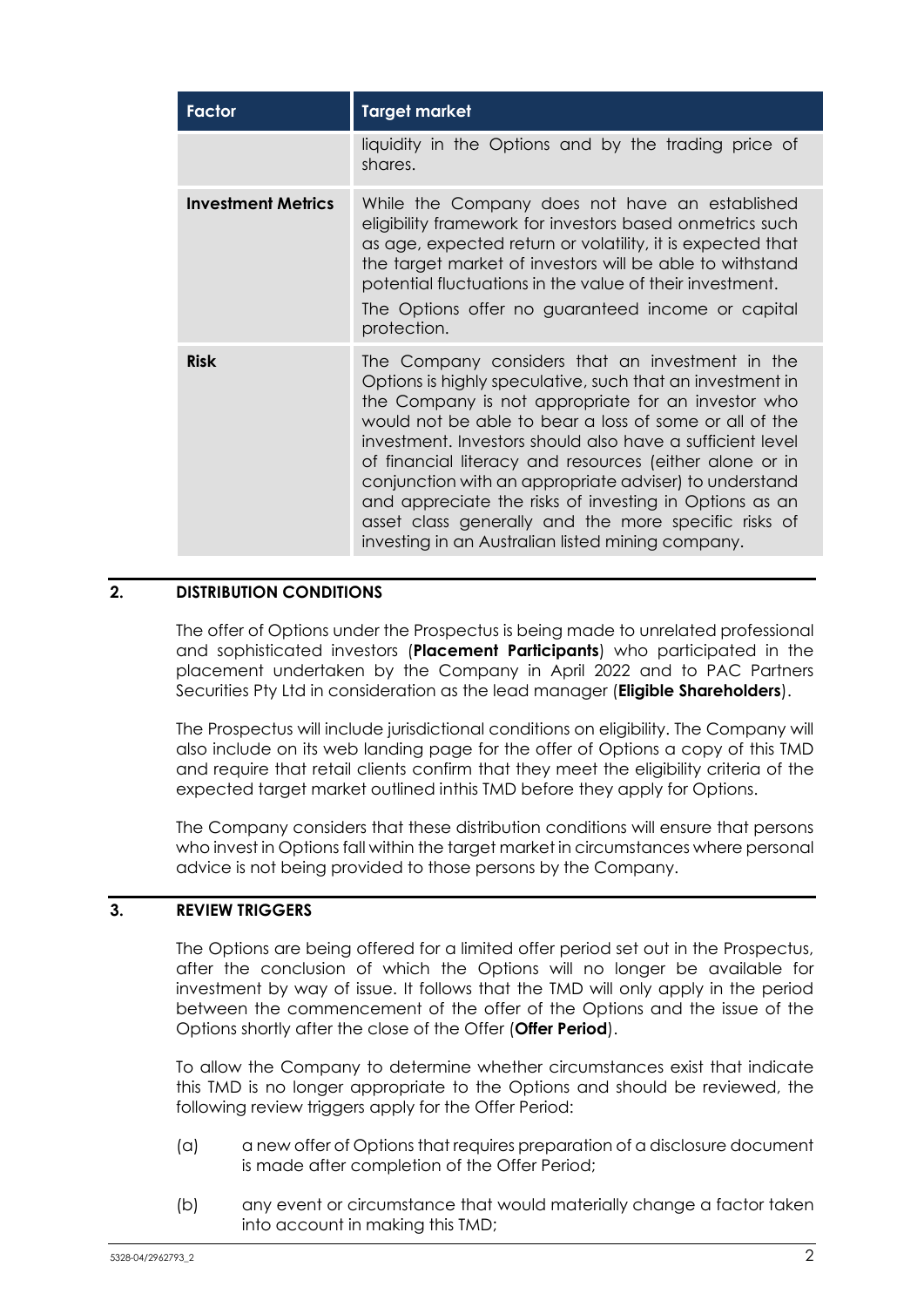| <b>Factor</b>             | <b>Target market</b>                                                                                                                                                                                                                                                                                                                                                                                                                                                                                                                                                                  |  |  |
|---------------------------|---------------------------------------------------------------------------------------------------------------------------------------------------------------------------------------------------------------------------------------------------------------------------------------------------------------------------------------------------------------------------------------------------------------------------------------------------------------------------------------------------------------------------------------------------------------------------------------|--|--|
|                           | liquidity in the Options and by the trading price of<br>shares.                                                                                                                                                                                                                                                                                                                                                                                                                                                                                                                       |  |  |
| <b>Investment Metrics</b> | While the Company does not have an established<br>eligibility framework for investors based onmetrics such<br>as age, expected return or volatility, it is expected that<br>the target market of investors will be able to withstand<br>potential fluctuations in the value of their investment.<br>The Options offer no guaranteed income or capital<br>protection.                                                                                                                                                                                                                  |  |  |
| <b>Risk</b>               | The Company considers that an investment in the<br>Options is highly speculative, such that an investment in<br>the Company is not appropriate for an investor who<br>would not be able to bear a loss of some or all of the<br>investment. Investors should also have a sufficient level<br>of financial literacy and resources (either alone or in<br>conjunction with an appropriate adviser) to understand<br>and appreciate the risks of investing in Options as an<br>asset class generally and the more specific risks of<br>investing in an Australian listed mining company. |  |  |

## **2. DISTRIBUTION CONDITIONS**

The offer of Options under the Prospectus is being made to unrelated professional and sophisticated investors (**Placement Participants**) who participated in the placement undertaken by the Company in April 2022 and to PAC Partners Securities Pty Ltd in consideration as the lead manager (**Eligible Shareholders**).

The Prospectus will include jurisdictional conditions on eligibility. The Company will also include on its web landing page for the offer of Options a copy of this TMD and require that retail clients confirm that they meet the eligibility criteria of the expected target market outlined inthis TMD before they apply for Options.

The Company considers that these distribution conditions will ensure that persons who invest in Options fall within the target market in circumstances where personal advice is not being provided to those persons by the Company.

#### **3. REVIEW TRIGGERS**

The Options are being offered for a limited offer period set out in the Prospectus, after the conclusion of which the Options will no longer be available for investment by way of issue. It follows that the TMD will only apply in the period between the commencement of the offer of the Options and the issue of the Options shortly after the close of the Offer (**Offer Period**).

To allow the Company to determine whether circumstances exist that indicate this TMD is no longer appropriate to the Options and should be reviewed, the following review triggers apply for the Offer Period:

- (a) a new offer of Options that requires preparation of a disclosure document is made after completion of the Offer Period;
- (b) any event or circumstance that would materially change a factor taken into account in making this TMD;